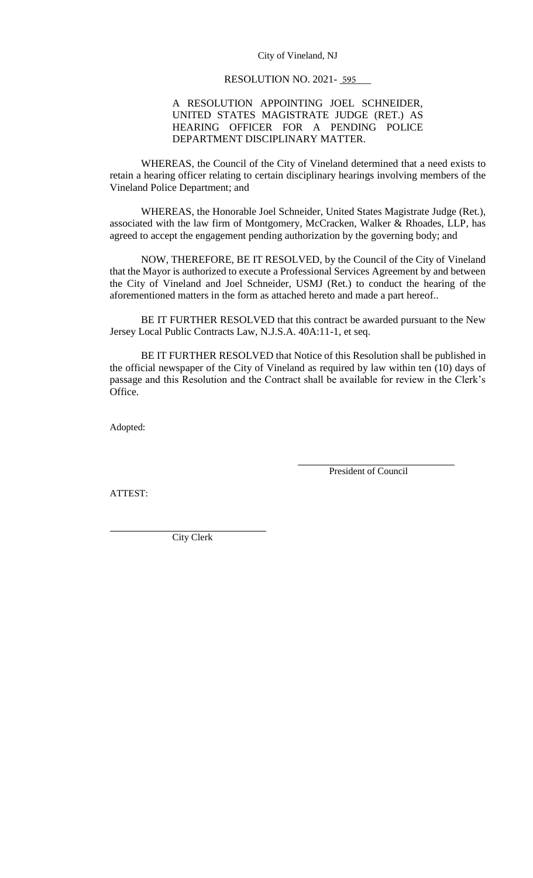#### City of Vineland, NJ

#### RESOLUTION NO. 2021- 595

### A RESOLUTION APPOINTING JOEL SCHNEIDER, UNITED STATES MAGISTRATE JUDGE (RET.) AS HEARING OFFICER FOR A PENDING POLICE DEPARTMENT DISCIPLINARY MATTER.

WHEREAS, the Council of the City of Vineland determined that a need exists to retain a hearing officer relating to certain disciplinary hearings involving members of the Vineland Police Department; and

WHEREAS, the Honorable Joel Schneider, United States Magistrate Judge (Ret.), associated with the law firm of Montgomery, McCracken, Walker & Rhoades, LLP, has agreed to accept the engagement pending authorization by the governing body; and

NOW, THEREFORE, BE IT RESOLVED, by the Council of the City of Vineland that the Mayor is authorized to execute a Professional Services Agreement by and between the City of Vineland and Joel Schneider, USMJ (Ret.) to conduct the hearing of the aforementioned matters in the form as attached hereto and made a part hereof..

BE IT FURTHER RESOLVED that this contract be awarded pursuant to the New Jersey Local Public Contracts Law, N.J.S.A. 40A:11-1, et seq.

BE IT FURTHER RESOLVED that Notice of this Resolution shall be published in the official newspaper of the City of Vineland as required by law within ten (10) days of passage and this Resolution and the Contract shall be available for review in the Clerk's Office.

Adopted:

President of Council

ATTEST:

City Clerk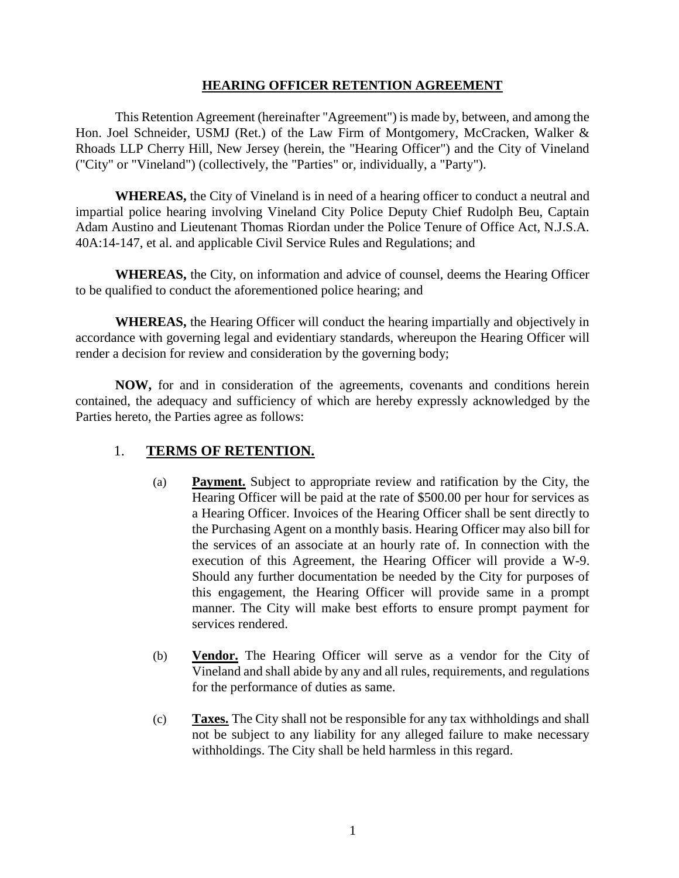## **HEARING OFFICER RETENTION AGREEMENT**

This Retention Agreement (hereinafter "Agreement") is made by, between, and among the Hon. Joel Schneider, USMJ (Ret.) of the Law Firm of Montgomery, McCracken, Walker & Rhoads LLP Cherry Hill, New Jersey (herein, the "Hearing Officer") and the City of Vineland ("City" or "Vineland") (collectively, the "Parties" or, individually, a "Party").

**WHEREAS,** the City of Vineland is in need of a hearing officer to conduct a neutral and impartial police hearing involving Vineland City Police Deputy Chief Rudolph Beu, Captain Adam Austino and Lieutenant Thomas Riordan under the Police Tenure of Office Act, N.J.S.A. 40A:14-147, et al. and applicable Civil Service Rules and Regulations; and

**WHEREAS,** the City, on information and advice of counsel, deems the Hearing Officer to be qualified to conduct the aforementioned police hearing; and

**WHEREAS,** the Hearing Officer will conduct the hearing impartially and objectively in accordance with governing legal and evidentiary standards, whereupon the Hearing Officer will render a decision for review and consideration by the governing body;

**NOW,** for and in consideration of the agreements, covenants and conditions herein contained, the adequacy and sufficiency of which are hereby expressly acknowledged by the Parties hereto, the Parties agree as follows:

# 1. **TERMS OF RETENTION.**

- (a) **Payment.** Subject to appropriate review and ratification by the City, the Hearing Officer will be paid at the rate of \$500.00 per hour for services as a Hearing Officer. Invoices of the Hearing Officer shall be sent directly to the Purchasing Agent on a monthly basis. Hearing Officer may also bill for the services of an associate at an hourly rate of. In connection with the execution of this Agreement, the Hearing Officer will provide a W-9. Should any further documentation be needed by the City for purposes of this engagement, the Hearing Officer will provide same in a prompt manner. The City will make best efforts to ensure prompt payment for services rendered.
- (b) **Vendor.** The Hearing Officer will serve as a vendor for the City of Vineland and shall abide by any and all rules, requirements, and regulations for the performance of duties as same.
- (c) **Taxes.** The City shall not be responsible for any tax withholdings and shall not be subject to any liability for any alleged failure to make necessary withholdings. The City shall be held harmless in this regard.